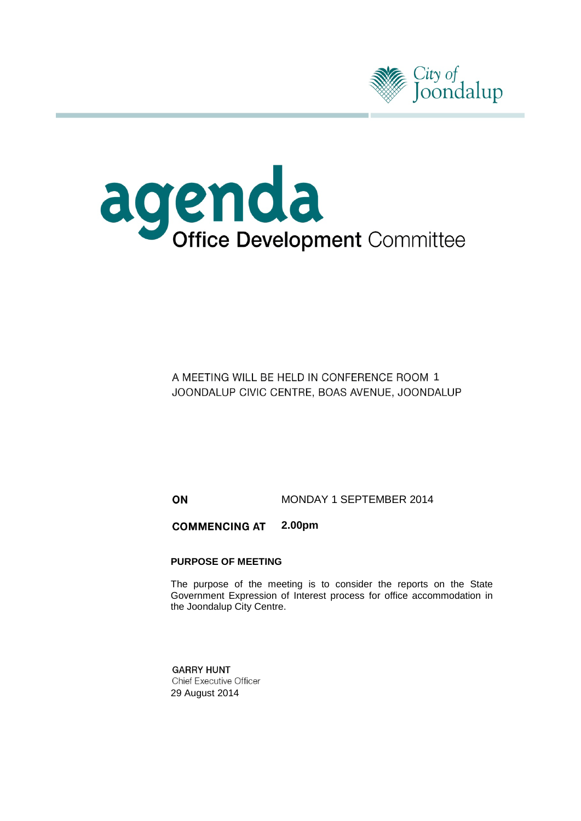



A MEETING WILL BE HELD IN CONFERENCE ROOM 1 JOONDALUP CIVIC CENTRE, BOAS AVENUE, JOONDALUP

ON MONDAY 1 SEPTEMBER 2014

**COMMENCING AT 2.00pm**

#### **PURPOSE OF MEETING**

The purpose of the meeting is to consider the reports on the State Government Expression of Interest process for office accommodation in the Joondalup City Centre.

**GARRY HUNT Chief Executive Officer** 29 August 2014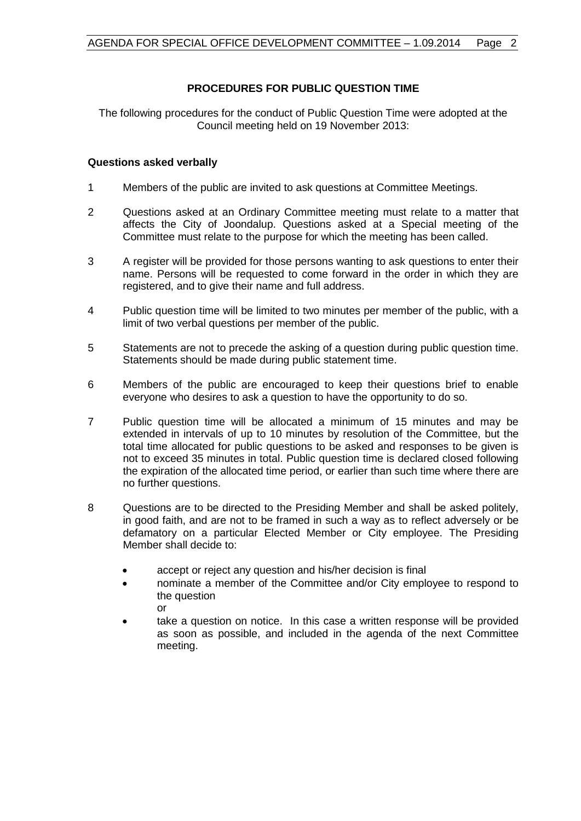## **PROCEDURES FOR PUBLIC QUESTION TIME**

The following procedures for the conduct of Public Question Time were adopted at the Council meeting held on 19 November 2013:

## **Questions asked verbally**

- 1 Members of the public are invited to ask questions at Committee Meetings.
- 2 Questions asked at an Ordinary Committee meeting must relate to a matter that affects the City of Joondalup. Questions asked at a Special meeting of the Committee must relate to the purpose for which the meeting has been called.
- 3 A register will be provided for those persons wanting to ask questions to enter their name. Persons will be requested to come forward in the order in which they are registered, and to give their name and full address.
- 4 Public question time will be limited to two minutes per member of the public, with a limit of two verbal questions per member of the public.
- 5 Statements are not to precede the asking of a question during public question time. Statements should be made during public statement time.
- 6 Members of the public are encouraged to keep their questions brief to enable everyone who desires to ask a question to have the opportunity to do so.
- 7 Public question time will be allocated a minimum of 15 minutes and may be extended in intervals of up to 10 minutes by resolution of the Committee, but the total time allocated for public questions to be asked and responses to be given is not to exceed 35 minutes in total. Public question time is declared closed following the expiration of the allocated time period, or earlier than such time where there are no further questions.
- 8 Questions are to be directed to the Presiding Member and shall be asked politely, in good faith, and are not to be framed in such a way as to reflect adversely or be defamatory on a particular Elected Member or City employee. The Presiding Member shall decide to:
	- accept or reject any question and his/her decision is final
	- nominate a member of the Committee and/or City employee to respond to the question or
	- take a question on notice. In this case a written response will be provided as soon as possible, and included in the agenda of the next Committee meeting.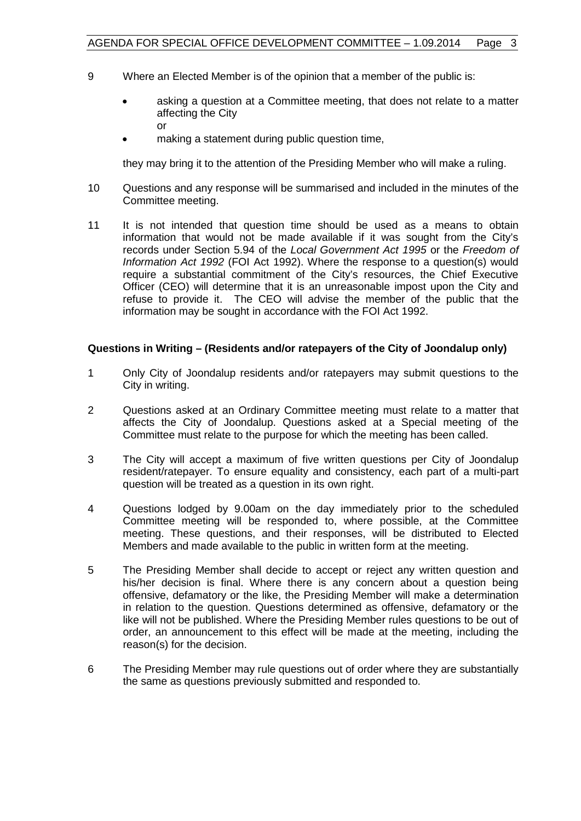- 9 Where an Elected Member is of the opinion that a member of the public is:
	- asking a question at a Committee meeting, that does not relate to a matter affecting the City or
	- making a statement during public question time,

they may bring it to the attention of the Presiding Member who will make a ruling.

- 10 Questions and any response will be summarised and included in the minutes of the Committee meeting.
- 11 It is not intended that question time should be used as a means to obtain information that would not be made available if it was sought from the City's records under Section 5.94 of the *Local Government Act 1995* or the *Freedom of Information Act 1992* (FOI Act 1992). Where the response to a question(s) would require a substantial commitment of the City's resources, the Chief Executive Officer (CEO) will determine that it is an unreasonable impost upon the City and refuse to provide it. The CEO will advise the member of the public that the information may be sought in accordance with the FOI Act 1992.

## **Questions in Writing – (Residents and/or ratepayers of the City of Joondalup only)**

- 1 Only City of Joondalup residents and/or ratepayers may submit questions to the City in writing.
- 2 Questions asked at an Ordinary Committee meeting must relate to a matter that affects the City of Joondalup. Questions asked at a Special meeting of the Committee must relate to the purpose for which the meeting has been called.
- 3 The City will accept a maximum of five written questions per City of Joondalup resident/ratepayer. To ensure equality and consistency, each part of a multi-part question will be treated as a question in its own right.
- 4 Questions lodged by 9.00am on the day immediately prior to the scheduled Committee meeting will be responded to, where possible, at the Committee meeting. These questions, and their responses, will be distributed to Elected Members and made available to the public in written form at the meeting.
- 5 The Presiding Member shall decide to accept or reject any written question and his/her decision is final. Where there is any concern about a question being offensive, defamatory or the like, the Presiding Member will make a determination in relation to the question. Questions determined as offensive, defamatory or the like will not be published. Where the Presiding Member rules questions to be out of order, an announcement to this effect will be made at the meeting, including the reason(s) for the decision.
- 6 The Presiding Member may rule questions out of order where they are substantially the same as questions previously submitted and responded to.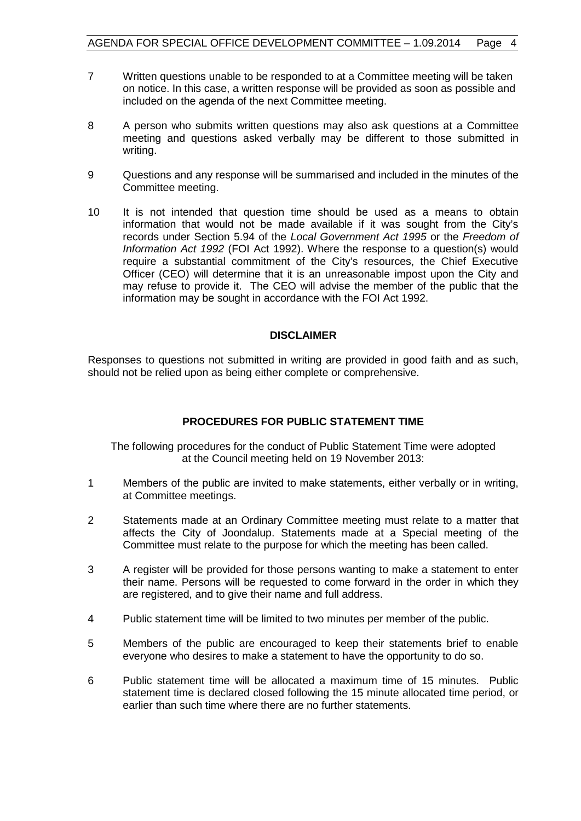- 7 Written questions unable to be responded to at a Committee meeting will be taken on notice. In this case, a written response will be provided as soon as possible and included on the agenda of the next Committee meeting.
- 8 A person who submits written questions may also ask questions at a Committee meeting and questions asked verbally may be different to those submitted in writing.
- 9 Questions and any response will be summarised and included in the minutes of the Committee meeting.
- 10 It is not intended that question time should be used as a means to obtain information that would not be made available if it was sought from the City's records under Section 5.94 of the *Local Government Act 1995* or the *Freedom of Information Act 1992* (FOI Act 1992). Where the response to a question(s) would require a substantial commitment of the City's resources, the Chief Executive Officer (CEO) will determine that it is an unreasonable impost upon the City and may refuse to provide it. The CEO will advise the member of the public that the information may be sought in accordance with the FOI Act 1992.

## **DISCLAIMER**

Responses to questions not submitted in writing are provided in good faith and as such, should not be relied upon as being either complete or comprehensive.

## **PROCEDURES FOR PUBLIC STATEMENT TIME**

The following procedures for the conduct of Public Statement Time were adopted at the Council meeting held on 19 November 2013:

- 1 Members of the public are invited to make statements, either verbally or in writing, at Committee meetings.
- 2 Statements made at an Ordinary Committee meeting must relate to a matter that affects the City of Joondalup. Statements made at a Special meeting of the Committee must relate to the purpose for which the meeting has been called.
- 3 A register will be provided for those persons wanting to make a statement to enter their name. Persons will be requested to come forward in the order in which they are registered, and to give their name and full address.
- 4 Public statement time will be limited to two minutes per member of the public.
- 5 Members of the public are encouraged to keep their statements brief to enable everyone who desires to make a statement to have the opportunity to do so.
- 6 Public statement time will be allocated a maximum time of 15 minutes. Public statement time is declared closed following the 15 minute allocated time period, or earlier than such time where there are no further statements.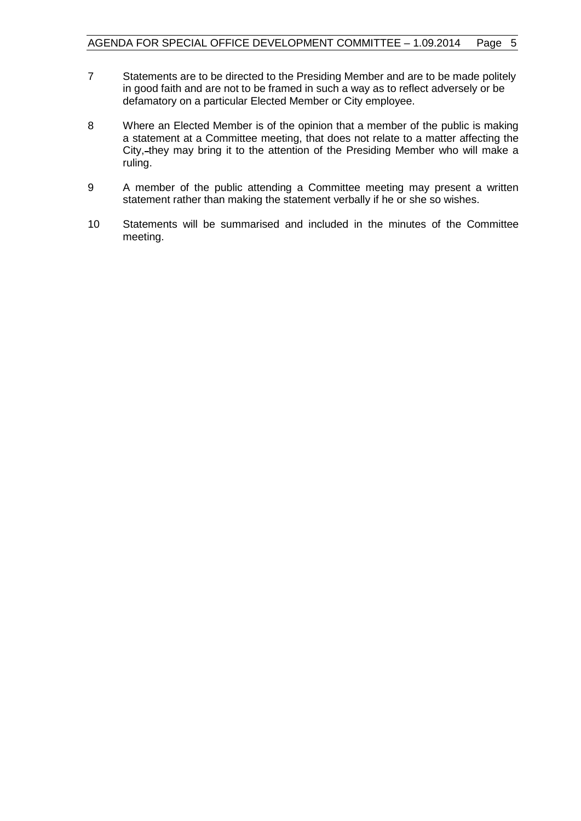- 7 Statements are to be directed to the Presiding Member and are to be made politely in good faith and are not to be framed in such a way as to reflect adversely or be defamatory on a particular Elected Member or City employee.
- 8 Where an Elected Member is of the opinion that a member of the public is making a statement at a Committee meeting, that does not relate to a matter affecting the City, they may bring it to the attention of the Presiding Member who will make a ruling.
- 9 A member of the public attending a Committee meeting may present a written statement rather than making the statement verbally if he or she so wishes.
- 10 Statements will be summarised and included in the minutes of the Committee meeting.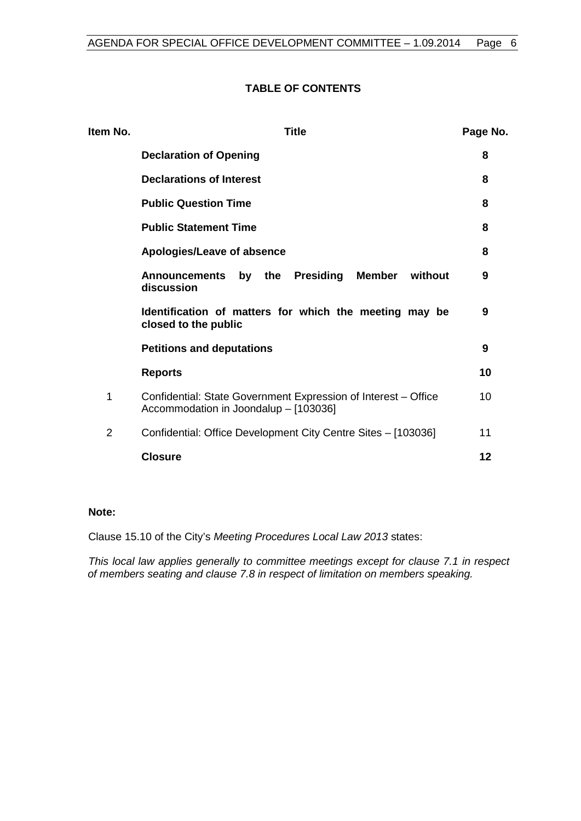## **TABLE OF CONTENTS**

| Item No.       | <b>Title</b>                                                                                            |    |  |
|----------------|---------------------------------------------------------------------------------------------------------|----|--|
|                | <b>Declaration of Opening</b>                                                                           | 8  |  |
|                | <b>Declarations of Interest</b>                                                                         | 8  |  |
|                | <b>Public Question Time</b>                                                                             | 8  |  |
|                | <b>Public Statement Time</b>                                                                            | 8  |  |
|                | Apologies/Leave of absence                                                                              | 8  |  |
|                | Presiding<br><b>Member</b><br><b>Announcements</b><br>the<br>without<br>by<br>discussion                | 9  |  |
|                | Identification of matters for which the meeting may be<br>closed to the public                          | 9  |  |
|                | <b>Petitions and deputations</b>                                                                        | 9  |  |
|                | <b>Reports</b>                                                                                          | 10 |  |
| 1              | Confidential: State Government Expression of Interest – Office<br>Accommodation in Joondalup - [103036] |    |  |
| $\overline{2}$ | Confidential: Office Development City Centre Sites - [103036]                                           | 11 |  |
|                | <b>Closure</b>                                                                                          | 12 |  |

#### **Note:**

Clause 15.10 of the City's *Meeting Procedures Local Law 2013* states:

*This local law applies generally to committee meetings except for clause 7.1 in respect of members seating and clause 7.8 in respect of limitation on members speaking.*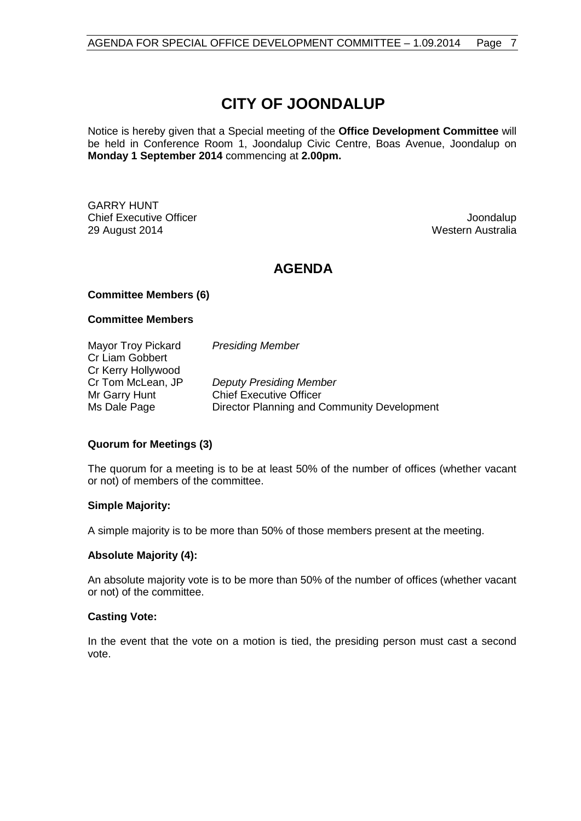# **CITY OF JOONDALUP**

Notice is hereby given that a Special meeting of the **Office Development Committee** will be held in Conference Room 1, Joondalup Civic Centre, Boas Avenue, Joondalup on **Monday 1 September 2014** commencing at **2.00pm.**

GARRY HUNT Chief Executive Officer **Joondalup** 29 August 2014 Western Australia

## **AGENDA**

#### **Committee Members (6)**

#### **Committee Members**

| Mayor Troy Pickard<br>Cr Liam Gobbert   | <b>Presiding Member</b>                                                       |
|-----------------------------------------|-------------------------------------------------------------------------------|
| Cr Kerry Hollywood<br>Cr Tom McLean, JP | <b>Deputy Presiding Member</b>                                                |
| Mr Garry Hunt<br>Ms Dale Page           | <b>Chief Executive Officer</b><br>Director Planning and Community Development |

## **Quorum for Meetings (3)**

The quorum for a meeting is to be at least 50% of the number of offices (whether vacant or not) of members of the committee.

#### **Simple Majority:**

A simple majority is to be more than 50% of those members present at the meeting.

## **Absolute Majority (4):**

An absolute majority vote is to be more than 50% of the number of offices (whether vacant or not) of the committee.

#### **Casting Vote:**

In the event that the vote on a motion is tied, the presiding person must cast a second vote.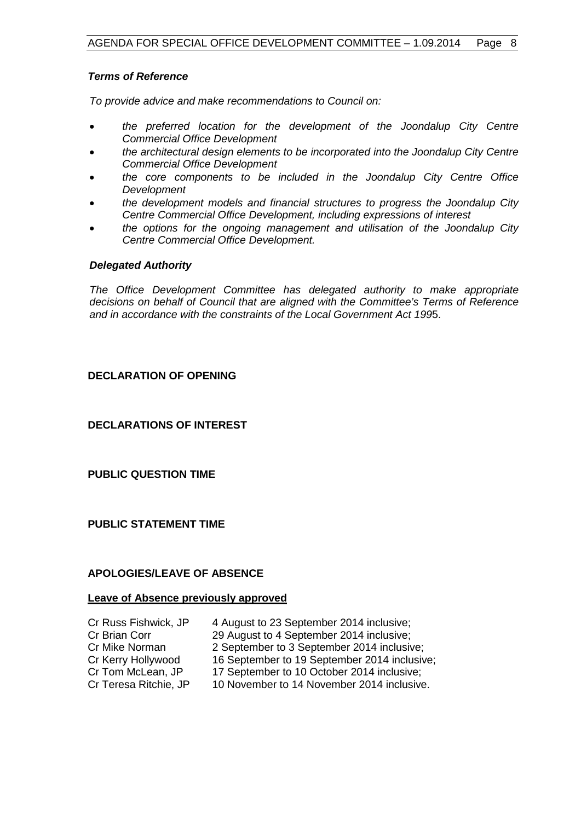## *Terms of Reference*

*To provide advice and make recommendations to Council on:*

- *the preferred location for the development of the Joondalup City Centre Commercial Office Development*
- *the architectural design elements to be incorporated into the Joondalup City Centre Commercial Office Development*
- *the core components to be included in the Joondalup City Centre Office Development*
- *the development models and financial structures to progress the Joondalup City Centre Commercial Office Development, including expressions of interest*
- *the options for the ongoing management and utilisation of the Joondalup City Centre Commercial Office Development.*

## *Delegated Authority*

*The Office Development Committee has delegated authority to make appropriate decisions on behalf of Council that are aligned with the Committee's Terms of Reference and in accordance with the constraints of the Local Government Act 199*5.

## <span id="page-7-0"></span>**DECLARATION OF OPENING**

<span id="page-7-1"></span>**DECLARATIONS OF INTEREST**

<span id="page-7-2"></span>**PUBLIC QUESTION TIME**

<span id="page-7-3"></span>**PUBLIC STATEMENT TIME**

## <span id="page-7-4"></span>**APOLOGIES/LEAVE OF ABSENCE**

## **Leave of Absence previously approved**

| Cr Russ Fishwick, JP  | 4 August to 23 September 2014 inclusive;     |
|-----------------------|----------------------------------------------|
| Cr Brian Corr         | 29 August to 4 September 2014 inclusive;     |
| Cr Mike Norman        | 2 September to 3 September 2014 inclusive;   |
| Cr Kerry Hollywood    | 16 September to 19 September 2014 inclusive; |
| Cr Tom McLean, JP     | 17 September to 10 October 2014 inclusive;   |
| Cr Teresa Ritchie, JP | 10 November to 14 November 2014 inclusive.   |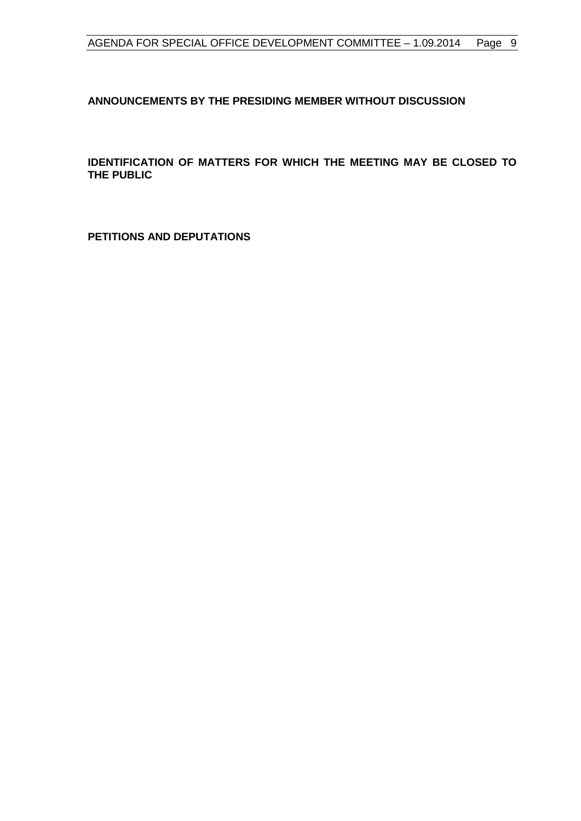<span id="page-8-0"></span>**ANNOUNCEMENTS BY THE PRESIDING MEMBER WITHOUT DISCUSSION**

<span id="page-8-1"></span>**IDENTIFICATION OF MATTERS FOR WHICH THE MEETING MAY BE CLOSED TO THE PUBLIC**

<span id="page-8-2"></span>**PETITIONS AND DEPUTATIONS**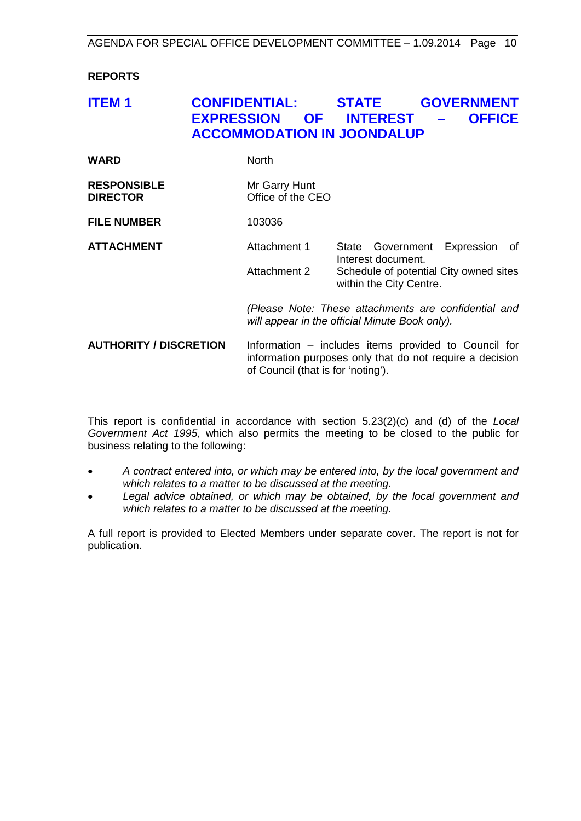## <span id="page-9-0"></span>**REPORTS**

## <span id="page-9-1"></span>**ITEM 1 CONFIDENTIAL: STATE GOVERNMENT EXPRESSION OF INTEREST – OFFICE ACCOMMODATION IN JOONDALUP**

| <b>WARD</b>                           | <b>North</b>                                                                                                                                           |  |                                                                                                             |            |    |
|---------------------------------------|--------------------------------------------------------------------------------------------------------------------------------------------------------|--|-------------------------------------------------------------------------------------------------------------|------------|----|
| <b>RESPONSIBLE</b><br><b>DIRECTOR</b> | Mr Garry Hunt<br>Office of the CEO                                                                                                                     |  |                                                                                                             |            |    |
| <b>FILE NUMBER</b>                    | 103036                                                                                                                                                 |  |                                                                                                             |            |    |
| <b>ATTACHMENT</b>                     | Attachment 1<br>Attachment 2                                                                                                                           |  | State Government<br>Interest document.<br>Schedule of potential City owned sites<br>within the City Centre. | Expression | of |
|                                       | (Please Note: These attachments are confidential and<br>will appear in the official Minute Book only).                                                 |  |                                                                                                             |            |    |
| <b>AUTHORITY / DISCRETION</b>         | Information – includes items provided to Council for<br>information purposes only that do not require a decision<br>of Council (that is for 'noting'). |  |                                                                                                             |            |    |

This report is confidential in accordance with section 5.23(2)(c) and (d) of the *Local Government Act 1995*, which also permits the meeting to be closed to the public for business relating to the following:

- *A contract entered into, or which may be entered into, by the local government and which relates to a matter to be discussed at the meeting.*
- *Legal advice obtained, or which may be obtained, by the local government and which relates to a matter to be discussed at the meeting.*

A full report is provided to Elected Members under separate cover. The report is not for publication.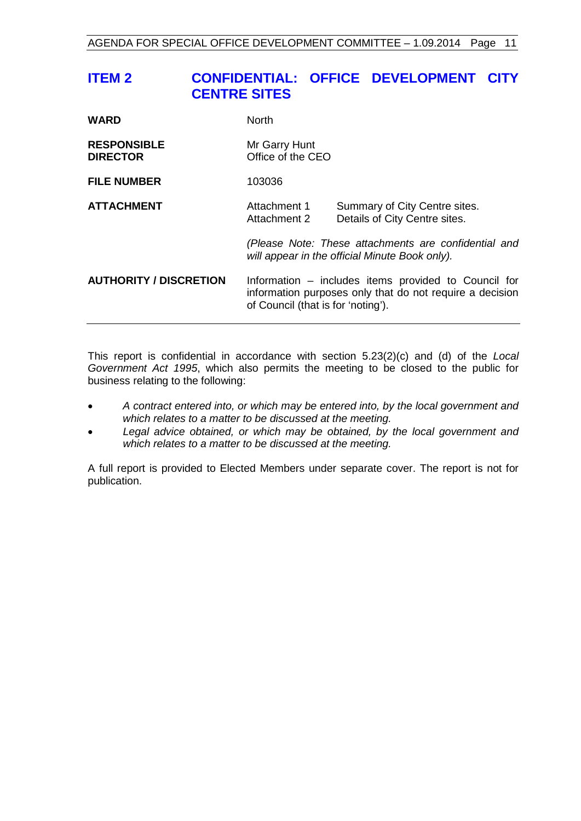## <span id="page-10-0"></span>**ITEM 2 CONFIDENTIAL: OFFICE DEVELOPMENT CITY CENTRE SITES**

| <b>WARD</b>                           | North                                                                                                                                                  |                                                                |  |
|---------------------------------------|--------------------------------------------------------------------------------------------------------------------------------------------------------|----------------------------------------------------------------|--|
| <b>RESPONSIBLE</b><br><b>DIRECTOR</b> | Mr Garry Hunt<br>Office of the CEO                                                                                                                     |                                                                |  |
| <b>FILE NUMBER</b>                    | 103036                                                                                                                                                 |                                                                |  |
| <b>ATTACHMENT</b>                     | Attachment 1<br>Attachment 2                                                                                                                           | Summary of City Centre sites.<br>Details of City Centre sites. |  |
|                                       | (Please Note: These attachments are confidential and<br>will appear in the official Minute Book only).                                                 |                                                                |  |
| <b>AUTHORITY / DISCRETION</b>         | Information – includes items provided to Council for<br>information purposes only that do not require a decision<br>of Council (that is for 'noting'). |                                                                |  |

This report is confidential in accordance with section 5.23(2)(c) and (d) of the *Local Government Act 1995*, which also permits the meeting to be closed to the public for business relating to the following:

- *A contract entered into, or which may be entered into, by the local government and which relates to a matter to be discussed at the meeting.*
- *Legal advice obtained, or which may be obtained, by the local government and which relates to a matter to be discussed at the meeting.*

A full report is provided to Elected Members under separate cover. The report is not for publication.